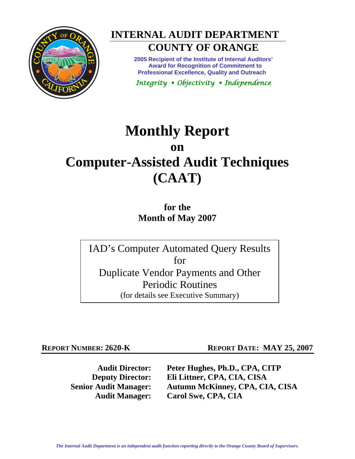



**2005 Recipient of the Institute of Internal Auditors' Award for Recognition of Commitment to Professional Excellence, Quality and Outreach** 

*Integrity Objectivity Independence* 

# **Monthly Report on Computer-Assisted Audit Techniques (CAAT)**

**for the Month of May 2007** 

IAD's Computer Automated Query Results for Duplicate Vendor Payments and Other Periodic Routines (for details see Executive Summary)

**REPORT NUMBER: 2620-K REPORT DATE: MAY 25, 2007** 

**Audit Director: Peter Hughes, Ph.D., CPA, CITP Deputy Director: Eli Littner, CPA, CIA, CISA Senior Audit Manager: Autumn McKinney, CPA, CIA, CISA Audit Manager: Carol Swe, CPA, CIA**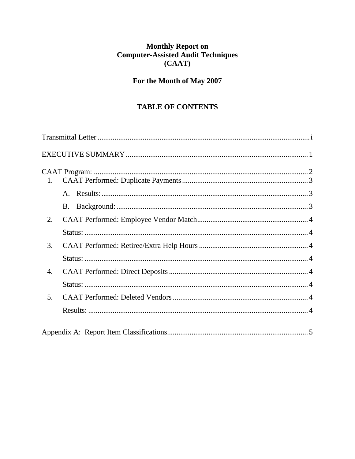# Monthly Report on<br>Computer-Assisted Audit Techniques  $(CAAT)$

# For the Month of May 2007

# **TABLE OF CONTENTS**

| 1.             |  |
|----------------|--|
|                |  |
|                |  |
| 2.             |  |
|                |  |
| 3.             |  |
|                |  |
| 4.             |  |
|                |  |
| 5 <sub>1</sub> |  |
|                |  |
|                |  |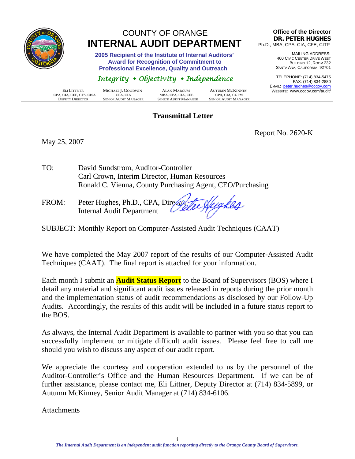<span id="page-2-0"></span>

# COUNTY OF ORANGE  **INTERNAL AUDIT DEPARTMENT**

 **2005 Recipient of the Institute of Internal Auditors' Award for Recognition of Commitment to Professional Excellence, Quality and Outreach** 

# *Integrity Objectivity Independence*

|                          |                        |                             |                             |                             | LIVIAL.      |
|--------------------------|------------------------|-----------------------------|-----------------------------|-----------------------------|--------------|
|                          | ELI LITTNER            | MICHAEL J. GOODWIN          | <b>ALAN MARCUM</b>          | <b>AUTUMN MCKINNEY</b>      | <b>WEBSI</b> |
| CPA, CIA, CFE, CFS, CISA |                        | CPA. CIA                    | MBA, CPA, CIA, CFE          | <b>CPA. CIA. CGFM</b>       |              |
|                          | <b>DEPUTY DIRECTOR</b> | <b>SENIOR AUDIT MANAGER</b> | <b>SENIOR AUDIT MANAGER</b> | <b>SENIOR AUDIT MANAGER</b> |              |

#### **Transmittal Letter**

#### **Office of the Director DR. PETER HUGHES** Ph.D., MBA, CPA, CIA, CFE, CITP

MAILING ADDRESS: 400 CIVIC CENTER DRIVE WEST BUILDING 12, ROOM 232 SANTA ANA, CALIFORNIA 92701

TELEPHONE: (714) 834-5475 FAX: (714) 834-2880 EMAIL: peter.hughes@ocgov.com ITE: www.ocgov.com/audit/

May 25, 2007

Report No. 2620-K

TO: David Sundstrom, Auditor-Controller Carl Crown, Interim Director, Human Resources Ronald C. Vienna, County Purchasing Agent, CEO/Purchasing

FROM: Peter Hughes, Ph.D., CPA, Director Internal Audit Department

SUBJECT: Monthly Report on Computer-Assisted Audit Techniques (CAAT)

We have completed the May 2007 report of the results of our Computer-Assisted Audit Techniques (CAAT). The final report is attached for your information.

Each month I submit an **Audit Status Report** to the Board of Supervisors (BOS) where I detail any material and significant audit issues released in reports during the prior month and the implementation status of audit recommendations as disclosed by our Follow-Up Audits. Accordingly, the results of this audit will be included in a future status report to the BOS.

As always, the Internal Audit Department is available to partner with you so that you can successfully implement or mitigate difficult audit issues. Please feel free to call me should you wish to discuss any aspect of our audit report.

We appreciate the courtesy and cooperation extended to us by the personnel of the Auditor-Controller's Office and the Human Resources Department. If we can be of further assistance, please contact me, Eli Littner, Deputy Director at (714) 834-5899, or Autumn McKinney, Senior Audit Manager at (714) 834-6106.

**Attachments**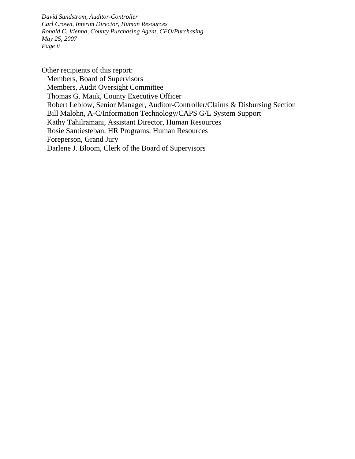*David Sundstrom, Auditor-Controller Carl Crown, Interim Director, Human Resources Ronald C. Vienna, County Purchasing Agent, CEO/Purchasing May 25, 2007 Page ii* 

Other recipients of this report: Members, Board of Supervisors Members, Audit Oversight Committee Thomas G. Mauk, County Executive Officer Robert Leblow, Senior Manager, Auditor-Controller/Claims & Disbursing Section Bill Malohn, A-C/Information Technology/CAPS G/L System Support Kathy Tahilramani, Assistant Director, Human Resources Rosie Santiesteban, HR Programs, Human Resources Foreperson, Grand Jury Darlene J. Bloom, Clerk of the Board of Supervisors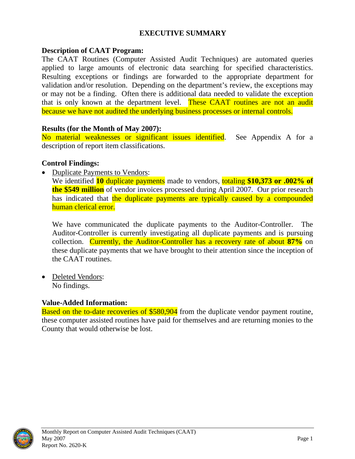## **EXECUTIVE SUMMARY**

#### <span id="page-4-0"></span>**Description of CAAT Program:**

The CAAT Routines (Computer Assisted Audit Techniques) are automated queries applied to large amounts of electronic data searching for specified characteristics. Resulting exceptions or findings are forwarded to the appropriate department for validation and/or resolution. Depending on the department's review, the exceptions may or may not be a finding. Often there is additional data needed to validate the exception that is only known at the department level. These CAAT routines are not an audit because we have not audited the underlying business processes or internal controls.

#### **Results (for the Month of May 2007):**

No material weaknesses or significant issues identified. See Appendix A for a description of report item classifications.

#### **Control Findings:**

• Duplicate Payments to Vendors:

We identified **10** duplicate payments made to vendors, totaling **\$10,373 or .002% of the \$549 million** of vendor invoices processed during April 2007. Our prior research has indicated that the duplicate payments are typically caused by a compounded human clerical error.

We have communicated the duplicate payments to the Auditor-Controller. The Auditor-Controller is currently investigating all duplicate payments and is pursuing collection. Currently, the Auditor-Controller has a recovery rate of about **87%** on these duplicate payments that we have brought to their attention since the inception of the CAAT routines.

• Deleted Vendors: No findings.

#### **Value-Added Information:**

Based on the to-date recoveries of \$580,904 from the duplicate vendor payment routine, these computer assisted routines have paid for themselves and are returning monies to the County that would otherwise be lost.

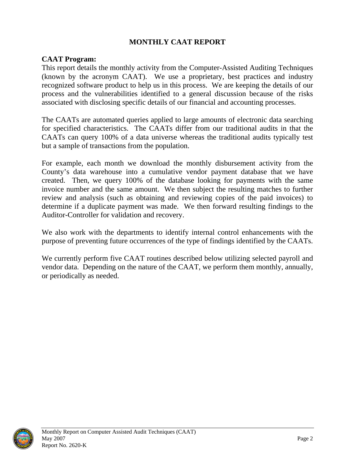## **MONTHLY CAAT REPORT**

#### <span id="page-5-0"></span>**CAAT Program:**

This report details the monthly activity from the Computer-Assisted Auditing Techniques (known by the acronym CAAT). We use a proprietary, best practices and industry recognized software product to help us in this process. We are keeping the details of our process and the vulnerabilities identified to a general discussion because of the risks associated with disclosing specific details of our financial and accounting processes.

The CAATs are automated queries applied to large amounts of electronic data searching for specified characteristics. The CAATs differ from our traditional audits in that the CAATs can query 100% of a data universe whereas the traditional audits typically test but a sample of transactions from the population.

For example, each month we download the monthly disbursement activity from the County's data warehouse into a cumulative vendor payment database that we have created. Then, we query 100% of the database looking for payments with the same invoice number and the same amount. We then subject the resulting matches to further review and analysis (such as obtaining and reviewing copies of the paid invoices) to determine if a duplicate payment was made. We then forward resulting findings to the Auditor-Controller for validation and recovery.

We also work with the departments to identify internal control enhancements with the purpose of preventing future occurrences of the type of findings identified by the CAATs.

We currently perform five CAAT routines described below utilizing selected payroll and vendor data. Depending on the nature of the CAAT, we perform them monthly, annually, or periodically as needed.

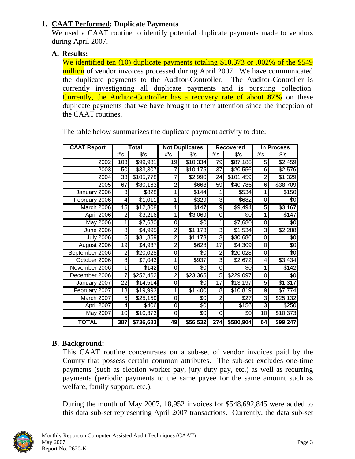# <span id="page-6-0"></span>**1. CAAT Performed: Duplicate Payments**

We used a CAAT routine to identify potential duplicate payments made to vendors during April 2007.

# **A. Results:**

We identified ten (10) duplicate payments totaling \$10,373 or .002\% of the \$549 million of vendor invoices processed during April 2007. We have communicated the duplicate payments to the Auditor-Controller. The Auditor-Controller is currently investigating all duplicate payments and is pursuing collection. Currently, the Auditor-Controller has a recovery rate of about **87%** on these duplicate payments that we have brought to their attention since the inception of the CAAT routines.

| <b>CAAT Report</b> | Total           |           | <b>Not Duplicates</b> |                     | <b>Recovered</b> |           | In Process     |                 |
|--------------------|-----------------|-----------|-----------------------|---------------------|------------------|-----------|----------------|-----------------|
|                    | #'s             | s's       | $#$ 's                | $s$ 's              | #'s              | $s$ 's    | #'s            | $s$ 's          |
| 2002               | 103             | \$99,981  | 19                    | \$10,334            | 79               | \$87,188  | 5              | \$2,459         |
| 2003               | 50              | \$33,307  |                       | \$10,175            | $\overline{37}$  | \$20,556  | $\overline{6}$ | \$2,576         |
| 2004               | 33              | \$105,778 |                       | \$2,990             | 24               | \$101,459 | $\overline{2}$ | \$1,329         |
| 2005               | 67              | \$80,163  | $\overline{2}$        | \$668               | 59               | \$40,786  | 6              | \$38,709        |
| January 2006       | ω               | \$828     |                       | $\sqrt{$144}$       |                  | 3534      | 1              | \$150           |
| February 2006      | 4               | \$1,011   |                       | \$329               | ω                | \$682     | 0              | $\sqrt[6]{3}$   |
| March 2006         | 15              | \$12,808  |                       | \$147               | 9                | \$9,494   | 5              | \$3,167         |
| April 2006         | $\overline{2}$  | \$3,216   |                       | $\overline{$3,069}$ | 0                | 80        |                | \$147           |
| <b>May 2006</b>    | 1               | \$7,680   | 0                     | \$0                 | 1                | \$7,680   | 0              | \$0             |
| <b>June 2006</b>   | 8               | \$4,995   | 2                     | \$1,173             | 3                | \$1,534   | 3              | \$2,288         |
| <b>July 2006</b>   | 5               | \$31,859  | 2                     | \$1,173             | 3                | \$30,686  | 0              | \$0             |
| August 2006        | 19              | \$4,937   | 2                     | \$628               | 17               | \$4,309   | 0              | $\overline{50}$ |
| September 2006     | 2               | \$20,028  | 0                     | \$0                 | 2                | \$20,028  | 0              | $\overline{60}$ |
| October 2006       | 8               | \$7,043   |                       | \$937               | 3                | \$2,672   | 4              | \$3,434         |
| November 2006      | 1               | \$142     | 0                     | \$0                 | $\overline{0}$   | \$0       | 1              | \$142           |
| December 2006      | 7               | \$252,462 | $\overline{2}$        | \$23,365            | 5 <sup>1</sup>   | \$229,097 | 0              | \$0             |
| January 2007       | $\overline{22}$ | \$14,514  | 0                     | \$0                 | 17               | \$13,197  | 5              | \$1,317         |
| February 2007      | 18              | \$19,993  | 1                     | \$1,400             | 8                | \$10,819  | 9              | \$7,774         |
| March 2007         | 5               | \$25,159  | 0                     | $\overline{50}$     | $\overline{2}$   | \$27      | ω              | \$25,132        |
| April 2007         | 4               | \$406     | 0                     | $\sqrt[6]{3}$       | 1                | \$156     | 3              | \$250           |
| May 2007           | $\overline{10}$ | \$10,373  | 0                     | $\overline{30}$     | 0                | \$0       | 10             | \$10,373        |
| <b>TOTAL</b>       | 387             | \$736,683 | 49                    | \$56,532            | 274              | \$580,904 | 64             | \$99,247        |

The table below summarizes the duplicate payment activity to date:

# **B. Background:**

This CAAT routine concentrates on a sub-set of vendor invoices paid by the County that possess certain common attributes. The sub-set excludes one-time payments (such as election worker pay, jury duty pay, etc.) as well as recurring payments (periodic payments to the same payee for the same amount such as welfare, family support, etc.).

During the month of May 2007, 18,952 invoices for \$548,692,845 were added to this data sub-set representing April 2007 transactions. Currently, the data sub-set

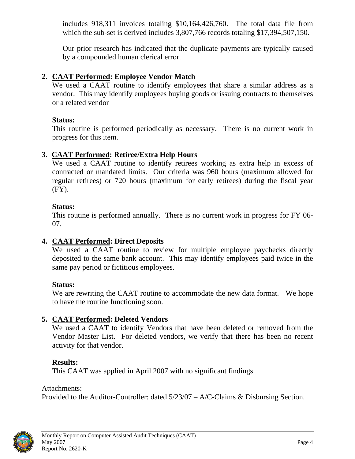<span id="page-7-0"></span>includes 918,311 invoices totaling \$10,164,426,760. The total data file from which the sub-set is derived includes 3,807,766 records totaling \$17,394,507,150.

Our prior research has indicated that the duplicate payments are typically caused by a compounded human clerical error.

# **2. CAAT Performed: Employee Vendor Match**

We used a CAAT routine to identify employees that share a similar address as a vendor. This may identify employees buying goods or issuing contracts to themselves or a related vendor

## **Status:**

This routine is performed periodically as necessary. There is no current work in progress for this item.

# **3. CAAT Performed: Retiree/Extra Help Hours**

We used a CAAT routine to identify retirees working as extra help in excess of contracted or mandated limits. Our criteria was 960 hours (maximum allowed for regular retirees) or 720 hours (maximum for early retirees) during the fiscal year (FY).

# **Status:**

This routine is performed annually. There is no current work in progress for FY 06- 07.

# **4. CAAT Performed: Direct Deposits**

We used a CAAT routine to review for multiple employee paychecks directly deposited to the same bank account. This may identify employees paid twice in the same pay period or fictitious employees.

# **Status:**

We are rewriting the CAAT routine to accommodate the new data format. We hope to have the routine functioning soon.

# **5. CAAT Performed: Deleted Vendors**

We used a CAAT to identify Vendors that have been deleted or removed from the Vendor Master List. For deleted vendors, we verify that there has been no recent activity for that vendor.

# **Results:**

This CAAT was applied in April 2007 with no significant findings.

# Attachments:

Provided to the Auditor-Controller: dated 5/23/07 – A/C-Claims & Disbursing Section.